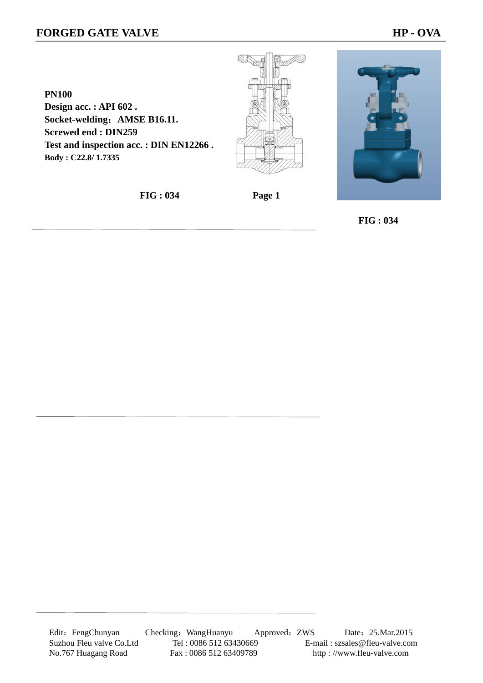## **FORGED GATE VALVE HP - OVA**

**PN100 Design acc. : API 602 . Socket-welding**:**AMSE B16.11. Screwed end : DIN259 Test and inspection acc. : DIN EN12266 . Body : C22.8/ 1.7335**



**FIG : 034 Page 1** 

 **FIG : 034**

Edit: FengChunyan Checking: WangHuanyu Approved: ZWS Date: 25.Mar.2015 Suzhou Fleu valve Co.Ltd Tel : 0086 512 63430669 E-mail : szsales@fleu-valve.com<br>No.767 Huagang Road Fax : 0086 512 63409789 http : //www.fleu-valve.com No.767 Huagang Road Fax : 0086 512 63409789 http : //www.fleu-valve.com